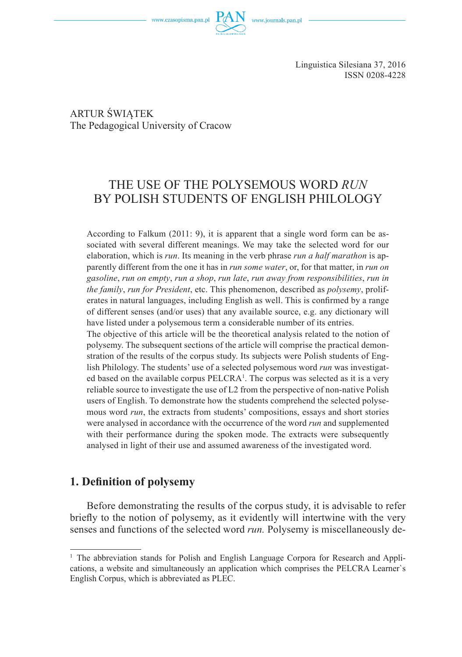www.czasopisma.pan.pl

Linguistica Silesiana 37, 2016 ISSN 0208-4228

ARTUR ŚWIĄTEK The Pedagogical University of Cracow

# THE USE OF THE POLYSEMOUS WORD *RUN* BY POLISH STUDENTS OF ENGLISH PHILOLOGY

According to Falkum (2011: 9), it is apparent that a single word form can be associated with several different meanings. We may take the selected word for our elaboration, which is *run*. Its meaning in the verb phrase *run a half marathon* is apparently different from the one it has in *run some water*, or, for that matter, in *run on gasoline*, *run on empty*, *run a shop*, *run late*, *run away from responsibilities*, *run in the family*, *run for President*, etc. This phenomenon, described as *polysemy*, proliferates in natural languages, including English as well. This is confirmed by a range of different senses (and/or uses) that any available source, e.g. any dictionary will have listed under a polysemous term a considerable number of its entries.

The objective of this article will be the theoretical analysis related to the notion of polysemy. The subsequent sections of the article will comprise the practical demonstration of the results of the corpus study. Its subjects were Polish students of English Philology. The students' use of a selected polysemous word *run* was investigated based on the available corpus  $PELCRA<sup>1</sup>$ . The corpus was selected as it is a very reliable source to investigate the use of L2 from the perspective of non-native Polish users of English. To demonstrate how the students comprehend the selected polysemous word *run*, the extracts from students' compositions, essays and short stories were analysed in accordance with the occurrence of the word *run* and supplemented with their performance during the spoken mode. The extracts were subsequently analysed in light of their use and assumed awareness of the investigated word.

# **1. Definition of polysemy**

Before demonstrating the results of the corpus study, it is advisable to refer briefly to the notion of polysemy, as it evidently will intertwine with the very senses and functions of the selected word *run.* Polysemy is miscellaneously de-

<sup>&</sup>lt;sup>1</sup> The abbreviation stands for Polish and English Language Corpora for Research and Applications, a website and simultaneously an application which comprises the PELCRA Learner`s English Corpus, which is abbreviated as PLEC.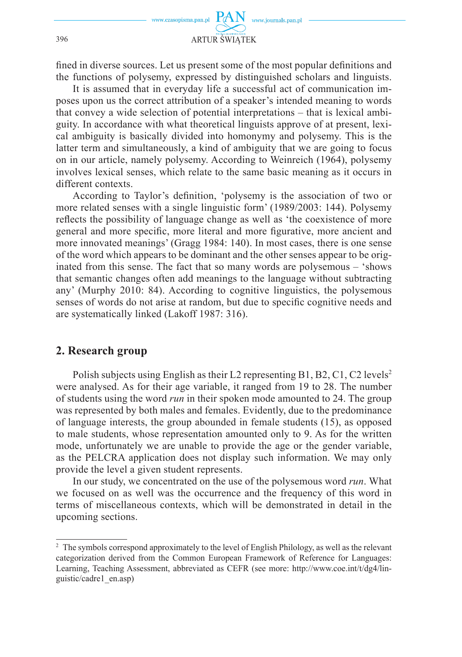

fined in diverse sources. Let us present some of the most popular definitions and the functions of polysemy, expressed by distinguished scholars and linguists.

It is assumed that in everyday life a successful act of communication imposes upon us the correct attribution of a speaker's intended meaning to words that convey a wide selection of potential interpretations – that is lexical ambiguity. In accordance with what theoretical linguists approve of at present, lexical ambiguity is basically divided into homonymy and polysemy. This is the latter term and simultaneously, a kind of ambiguity that we are going to focus on in our article, namely polysemy. According to Weinreich (1964), polysemy involves lexical senses, which relate to the same basic meaning as it occurs in different contexts.

According to Taylor's definition, 'polysemy is the association of two or more related senses with a single linguistic form' (1989/2003: 144). Polysemy reflects the possibility of language change as well as 'the coexistence of more general and more specific, more literal and more figurative, more ancient and more innovated meanings' (Gragg 1984: 140). In most cases, there is one sense of the word which appears to be dominant and the other senses appear to be originated from this sense. The fact that so many words are polysemous – 'shows that semantic changes often add meanings to the language without subtracting any' (Murphy 2010: 84). According to cognitive linguistics, the polysemous senses of words do not arise at random, but due to specific cognitive needs and are systematically linked (Lakoff 1987: 316).

## **2. Research group**

Polish subjects using English as their L2 representing B1, B2, C1, C2 levels<sup>2</sup> were analysed. As for their age variable, it ranged from 19 to 28. The number of students using the word *run* in their spoken mode amounted to 24. The group was represented by both males and females. Evidently, due to the predominance of language interests, the group abounded in female students (15), as opposed to male students, whose representation amounted only to 9. As for the written mode, unfortunately we are unable to provide the age or the gender variable, as the PELCRA application does not display such information. We may only provide the level a given student represents.

In our study, we concentrated on the use of the polysemous word *run*. What we focused on as well was the occurrence and the frequency of this word in terms of miscellaneous contexts, which will be demonstrated in detail in the upcoming sections.

<sup>&</sup>lt;sup>2</sup> The symbols correspond approximately to the level of English Philology, as well as the relevant categorization derived from the Common European Framework of Reference for Languages: Learning, Teaching Assessment, abbreviated as CEFR (see more: http://www.coe.int/t/dg4/linguistic/cadre1\_en.asp)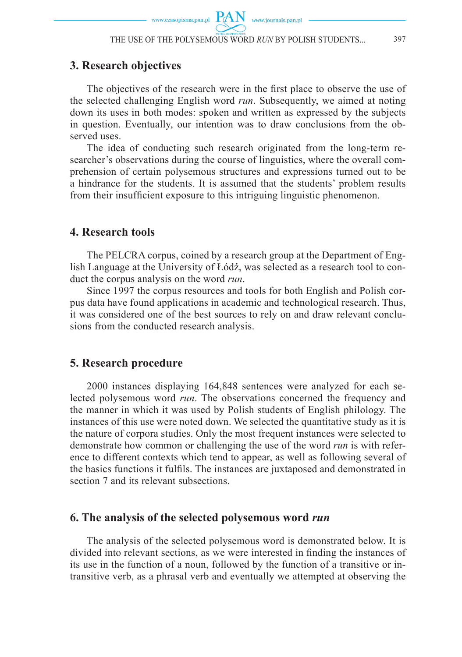## **3. Research objectives**

The objectives of the research were in the first place to observe the use of the selected challenging English word *run*. Subsequently, we aimed at noting down its uses in both modes: spoken and written as expressed by the subjects in question. Eventually, our intention was to draw conclusions from the observed uses.

The idea of conducting such research originated from the long-term researcher's observations during the course of linguistics, where the overall comprehension of certain polysemous structures and expressions turned out to be a hindrance for the students. It is assumed that the students' problem results from their insufficient exposure to this intriguing linguistic phenomenon.

#### **4. Research tools**

The PELCRA corpus, coined by a research group at the Department of English Language at the University of Łódź, was selected as a research tool to conduct the corpus analysis on the word *run*.

Since 1997 the corpus resources and tools for both English and Polish corpus data have found applications in academic and technological research. Thus, it was considered one of the best sources to rely on and draw relevant conclusions from the conducted research analysis.

## **5. Research procedure**

2000 instances displaying 164,848 sentences were analyzed for each selected polysemous word *run*. The observations concerned the frequency and the manner in which it was used by Polish students of English philology. The instances of this use were noted down. We selected the quantitative study as it is the nature of corpora studies. Only the most frequent instances were selected to demonstrate how common or challenging the use of the word *run* is with reference to different contexts which tend to appear, as well as following several of the basics functions it fulfils. The instances are juxtaposed and demonstrated in section 7 and its relevant subsections.

## **6. The analysis of the selected polysemous word** *run*

The analysis of the selected polysemous word is demonstrated below. It is divided into relevant sections, as we were interested in finding the instances of its use in the function of a noun, followed by the function of a transitive or intransitive verb, as a phrasal verb and eventually we attempted at observing the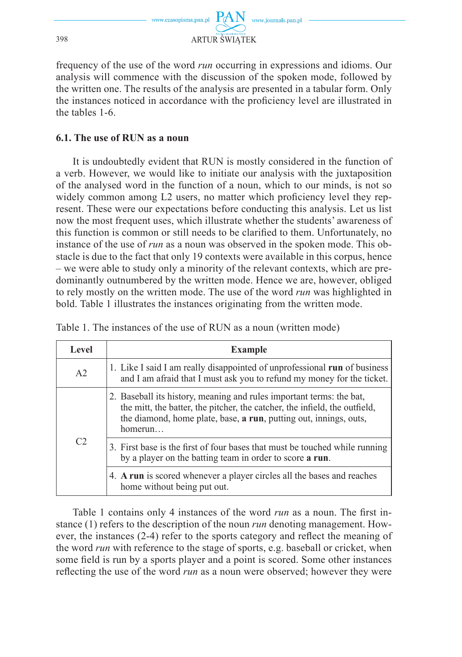

frequency of the use of the word *run* occurring in expressions and idioms. Our analysis will commence with the discussion of the spoken mode, followed by the written one. The results of the analysis are presented in a tabular form. Only the instances noticed in accordance with the proficiency level are illustrated in the tables 1-6.

#### **6.1. The use of RUN as a noun**

It is undoubtedly evident that RUN is mostly considered in the function of a verb. However, we would like to initiate our analysis with the juxtaposition of the analysed word in the function of a noun, which to our minds, is not so widely common among L2 users, no matter which proficiency level they represent. These were our expectations before conducting this analysis. Let us list now the most frequent uses, which illustrate whether the students' awareness of this function is common or still needs to be clarified to them. Unfortunately, no instance of the use of *run* as a noun was observed in the spoken mode. This obstacle is due to the fact that only 19 contexts were available in this corpus, hence – we were able to study only a minority of the relevant contexts, which are predominantly outnumbered by the written mode. Hence we are, however, obliged to rely mostly on the written mode. The use of the word *run* was highlighted in bold. Table 1 illustrates the instances originating from the written mode.

Table 1. The instances of the use of RUN as a noun (written mode)

| Level          | <b>Example</b>                                                                                                                                                                                                                                     |  |
|----------------|----------------------------------------------------------------------------------------------------------------------------------------------------------------------------------------------------------------------------------------------------|--|
| A <sub>2</sub> | 1. Like I said I am really disappointed of unprofessional run of business<br>and I am afraid that I must ask you to refund my money for the ticket.                                                                                                |  |
|                | 2. Baseball its history, meaning and rules important terms: the bat,<br>the mitt, the batter, the pitcher, the catcher, the infield, the outfield,<br>the diamond, home plate, base, <b>a run</b> , putting out, innings, outs,<br>homerun $\dots$ |  |
| C <sub>2</sub> | 3. First base is the first of four bases that must be touched while running<br>by a player on the batting team in order to score a run.                                                                                                            |  |
|                | 4. A run is scored whenever a player circles all the bases and reaches<br>home without being put out.                                                                                                                                              |  |

Table 1 contains only 4 instances of the word *run* as a noun. The first instance (1) refers to the description of the noun *run* denoting management. However, the instances  $(2-4)$  refer to the sports category and reflect the meaning of the word *run* with reference to the stage of sports, e.g. baseball or cricket, when some field is run by a sports player and a point is scored. Some other instances reflecting the use of the word *run* as a noun were observed; however they were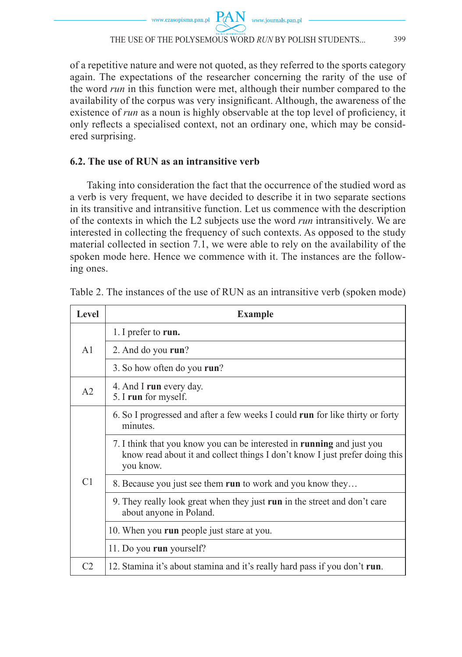of a repetitive nature and were not quoted, as they referred to the sports category again. The expectations of the researcher concerning the rarity of the use of the word *run* in this function were met, although their number compared to the availability of the corpus was very insignificant. Although, the awareness of the existence of *run* as a noun is highly observable at the top level of proficiency, it only reflects a specialised context, not an ordinary one, which may be considered surprising.

## **6.2. The use of RUN as an intransitive verb**

Taking into consideration the fact that the occurrence of the studied word as a verb is very frequent, we have decided to describe it in two separate sections in its transitive and intransitive function. Let us commence with the description of the contexts in which the L2 subjects use the word *run* intransitively. We are interested in collecting the frequency of such contexts. As opposed to the study material collected in section 7.1, we were able to rely on the availability of the spoken mode here. Hence we commence with it. The instances are the following ones.

| <b>Level</b>   | <b>Example</b>                                                                                                                                                     |  |
|----------------|--------------------------------------------------------------------------------------------------------------------------------------------------------------------|--|
| A <sub>1</sub> | 1. I prefer to run.                                                                                                                                                |  |
|                | 2. And do you run?                                                                                                                                                 |  |
|                | 3. So how often do you run?                                                                                                                                        |  |
| A <sub>2</sub> | 4. And I run every day.<br>5. I run for myself.                                                                                                                    |  |
| C <sub>1</sub> | 6. So I progressed and after a few weeks I could run for like thirty or forty<br>minutes.                                                                          |  |
|                | 7. I think that you know you can be interested in running and just you<br>know read about it and collect things I don't know I just prefer doing this<br>you know. |  |
|                | 8. Because you just see them run to work and you know they                                                                                                         |  |
|                | 9. They really look great when they just run in the street and don't care<br>about anyone in Poland.                                                               |  |
|                | 10. When you run people just stare at you.                                                                                                                         |  |
|                | 11. Do you run yourself?                                                                                                                                           |  |
| C <sub>2</sub> | 12. Stamina it's about stamina and it's really hard pass if you don't run.                                                                                         |  |

Table 2. The instances of the use of RUN as an intransitive verb (spoken mode)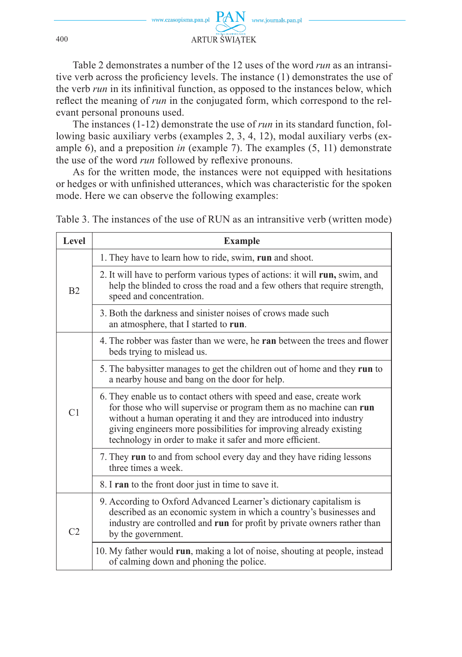

Table 2 demonstrates a number of the 12 uses of the word *run* as an intransitive verb across the proficiency levels. The instance (1) demonstrates the use of the verb *run* in its infinitival function, as opposed to the instances below, which reflect the meaning of *run* in the conjugated form, which correspond to the relevant personal pronouns used.

The instances (1-12) demonstrate the use of *run* in its standard function, following basic auxiliary verbs (examples 2, 3, 4, 12), modal auxiliary verbs (example 6), and a preposition *in* (example 7). The examples (5, 11) demonstrate the use of the word *run* followed by reflexive pronouns.

As for the written mode, the instances were not equipped with hesitations or hedges or with unfinished utterances, which was characteristic for the spoken mode. Here we can observe the following examples:

Table 3. The instances of the use of RUN as an intransitive verb (written mode)

| Level          | <b>Example</b>                                                                                                                                                                                                                                                                                                                                     |  |
|----------------|----------------------------------------------------------------------------------------------------------------------------------------------------------------------------------------------------------------------------------------------------------------------------------------------------------------------------------------------------|--|
| B <sub>2</sub> | 1. They have to learn how to ride, swim, run and shoot.                                                                                                                                                                                                                                                                                            |  |
|                | 2. It will have to perform various types of actions: it will run, swim, and<br>help the blinded to cross the road and a few others that require strength,<br>speed and concentration.                                                                                                                                                              |  |
|                | 3. Both the darkness and sinister noises of crows made such<br>an atmosphere, that I started to run.                                                                                                                                                                                                                                               |  |
| C <sub>1</sub> | 4. The robber was faster than we were, he <b>ran</b> between the trees and flower<br>beds trying to mislead us.                                                                                                                                                                                                                                    |  |
|                | 5. The babysitter manages to get the children out of home and they run to<br>a nearby house and bang on the door for help.                                                                                                                                                                                                                         |  |
|                | 6. They enable us to contact others with speed and ease, create work<br>for those who will supervise or program them as no machine can run<br>without a human operating it and they are introduced into industry<br>giving engineers more possibilities for improving already existing<br>technology in order to make it safer and more efficient. |  |
|                | 7. They run to and from school every day and they have riding lessons<br>three times a week.                                                                                                                                                                                                                                                       |  |
|                | 8. I ran to the front door just in time to save it.                                                                                                                                                                                                                                                                                                |  |
| C <sub>2</sub> | 9. According to Oxford Advanced Learner's dictionary capitalism is<br>described as an economic system in which a country's businesses and<br>industry are controlled and run for profit by private owners rather than<br>by the government.                                                                                                        |  |
|                | 10. My father would run, making a lot of noise, shouting at people, instead<br>of calming down and phoning the police.                                                                                                                                                                                                                             |  |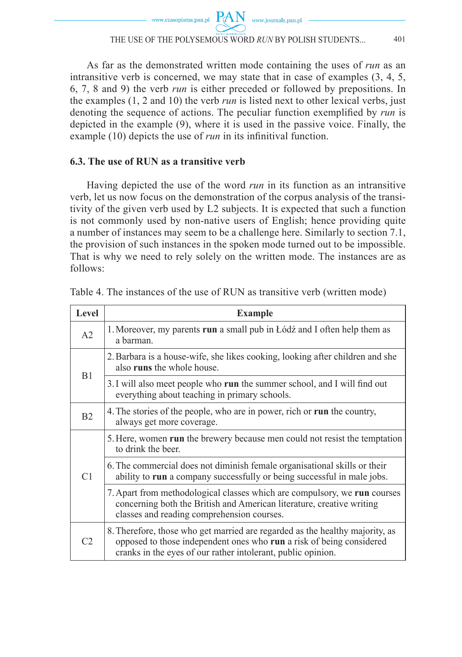#### THE USE OF THE POLYSEMOUS WORD *RUN* BY POLISH STUDENTS... 401

As far as the demonstrated written mode containing the uses of *run* as an intransitive verb is concerned, we may state that in case of examples (3, 4, 5, 6, 7, 8 and 9) the verb *run* is either preceded or followed by prepositions. In the examples (1, 2 and 10) the verb *run* is listed next to other lexical verbs, just denoting the sequence of actions. The peculiar function exemplified by *run* is depicted in the example (9), where it is used in the passive voice. Finally, the example (10) depicts the use of *run* in its infinitival function.

### **6.3. The use of RUN as a transitive verb**

Having depicted the use of the word *run* in its function as an intransitive verb, let us now focus on the demonstration of the corpus analysis of the transitivity of the given verb used by L2 subjects. It is expected that such a function is not commonly used by non-native users of English; hence providing quite a number of instances may seem to be a challenge here. Similarly to section 7.1, the provision of such instances in the spoken mode turned out to be impossible. That is why we need to rely solely on the written mode. The instances are as follows:

| Level          | <b>Example</b>                                                                                                                                                                                                       |  |
|----------------|----------------------------------------------------------------------------------------------------------------------------------------------------------------------------------------------------------------------|--|
| A <sub>2</sub> | 1. Moreover, my parents run a small pub in Łódź and I often help them as<br>a barman.                                                                                                                                |  |
| B1             | 2. Barbara is a house-wife, she likes cooking, looking after children and she<br>also runs the whole house.                                                                                                          |  |
|                | 3. I will also meet people who run the summer school, and I will find out<br>everything about teaching in primary schools.                                                                                           |  |
| B2             | 4. The stories of the people, who are in power, rich or run the country,<br>always get more coverage.                                                                                                                |  |
| C <sub>1</sub> | 5. Here, women run the brewery because men could not resist the temptation<br>to drink the beer.                                                                                                                     |  |
|                | 6. The commercial does not diminish female organisational skills or their<br>ability to run a company successfully or being successful in male jobs.                                                                 |  |
|                | 7. Apart from methodological classes which are compulsory, we run courses<br>concerning both the British and American literature, creative writing<br>classes and reading comprehension courses.                     |  |
| C2             | 8. Therefore, those who get married are regarded as the healthy majority, as<br>opposed to those independent ones who run a risk of being considered<br>cranks in the eyes of our rather intolerant, public opinion. |  |

Table 4. The instances of the use of RUN as transitive verb (written mode)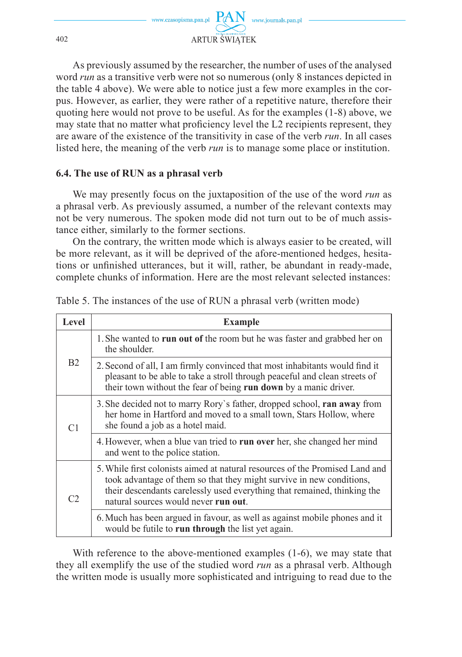

As previously assumed by the researcher, the number of uses of the analysed word *run* as a transitive verb were not so numerous (only 8 instances depicted in the table 4 above). We were able to notice just a few more examples in the corpus. However, as earlier, they were rather of a repetitive nature, therefore their quoting here would not prove to be useful. As for the examples (1-8) above, we may state that no matter what proficiency level the  $L2$  recipients represent, they are aware of the existence of the transitivity in case of the verb *run*. In all cases listed here, the meaning of the verb *run* is to manage some place or institution.

#### **6.4. The use of RUN as a phrasal verb**

We may presently focus on the juxtaposition of the use of the word *run* as a phrasal verb. As previously assumed, a number of the relevant contexts may not be very numerous. The spoken mode did not turn out to be of much assistance either, similarly to the former sections.

On the contrary, the written mode which is always easier to be created, will be more relevant, as it will be deprived of the afore-mentioned hedges, hesitations or unfinished utterances, but it will, rather, be abundant in ready-made, complete chunks of information. Here are the most relevant selected instances:

| Level          | <b>Example</b>                                                                                                                                                                                                                                                           |  |
|----------------|--------------------------------------------------------------------------------------------------------------------------------------------------------------------------------------------------------------------------------------------------------------------------|--|
| B <sub>2</sub> | 1. She wanted to run out of the room but he was faster and grabbed her on<br>the shoulder.                                                                                                                                                                               |  |
|                | 2. Second of all, I am firmly convinced that most inhabitants would find it<br>pleasant to be able to take a stroll through peaceful and clean streets of<br>their town without the fear of being run down by a manic driver.                                            |  |
| C <sub>1</sub> | 3. She decided not to marry Rory's father, dropped school, ran away from<br>her home in Hartford and moved to a small town, Stars Hollow, where<br>she found a job as a hotel maid.                                                                                      |  |
|                | 4. However, when a blue van tried to run over her, she changed her mind<br>and went to the police station.                                                                                                                                                               |  |
| C <sub>2</sub> | 5. While first colonists aimed at natural resources of the Promised Land and<br>took advantage of them so that they might survive in new conditions,<br>their descendants carelessly used everything that remained, thinking the<br>natural sources would never run out. |  |
|                | 6. Much has been argued in favour, as well as against mobile phones and it<br>would be futile to run through the list yet again.                                                                                                                                         |  |

Table 5. The instances of the use of RUN a phrasal verb (written mode)

With reference to the above-mentioned examples (1-6), we may state that they all exemplify the use of the studied word *run* as a phrasal verb. Although the written mode is usually more sophisticated and intriguing to read due to the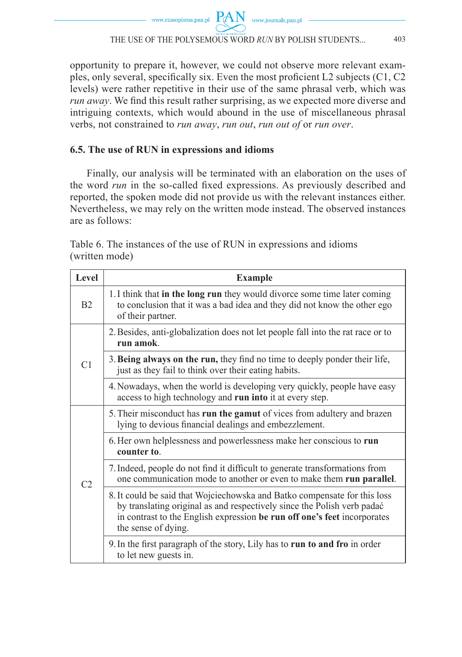### THE USE OF THE POLYSEMOUS WORD *RUN* BY POLISH STUDENTS... 403

opportunity to prepare it, however, we could not observe more relevant examples, only several, specifically six. Even the most proficient  $L2$  subjects  $(C1, C2)$ levels) were rather repetitive in their use of the same phrasal verb, which was *run away*. We find this result rather surprising, as we expected more diverse and intriguing contexts, which would abound in the use of miscellaneous phrasal verbs, not constrained to *run away*, *run out*, *run out of* or *run over*.

## **6.5. The use of RUN in expressions and idioms**

Finally, our analysis will be terminated with an elaboration on the uses of the word *run* in the so-called fixed expressions. As previously described and reported, the spoken mode did not provide us with the relevant instances either. Nevertheless, we may rely on the written mode instead. The observed instances are as follows:

Table 6. The instances of the use of RUN in expressions and idioms (written mode)

| Level          | <b>Example</b>                                                                                                                                                                                                                                          |  |
|----------------|---------------------------------------------------------------------------------------------------------------------------------------------------------------------------------------------------------------------------------------------------------|--|
| B <sub>2</sub> | 1. I think that in the long run they would divorce some time later coming<br>to conclusion that it was a bad idea and they did not know the other ego<br>of their partner.                                                                              |  |
| C <sub>1</sub> | 2. Besides, anti-globalization does not let people fall into the rat race or to<br>run amok.                                                                                                                                                            |  |
|                | 3. Being always on the run, they find no time to deeply ponder their life,<br>just as they fail to think over their eating habits.                                                                                                                      |  |
|                | 4. Nowadays, when the world is developing very quickly, people have easy<br>access to high technology and run into it at every step.                                                                                                                    |  |
| C2             | 5. Their misconduct has run the gamut of vices from adultery and brazen<br>lying to devious financial dealings and embezzlement.                                                                                                                        |  |
|                | 6. Her own helplessness and powerlessness make her conscious to run<br>counter to                                                                                                                                                                       |  |
|                | 7. Indeed, people do not find it difficult to generate transformations from<br>one communication mode to another or even to make them run parallel.                                                                                                     |  |
|                | 8. It could be said that Wojciechowska and Batko compensate for this loss<br>by translating original as and respectively since the Polish verb padać<br>in contrast to the English expression be run off one's feet incorporates<br>the sense of dying. |  |
|                | 9. In the first paragraph of the story, Lily has to run to and fro in order<br>to let new guests in.                                                                                                                                                    |  |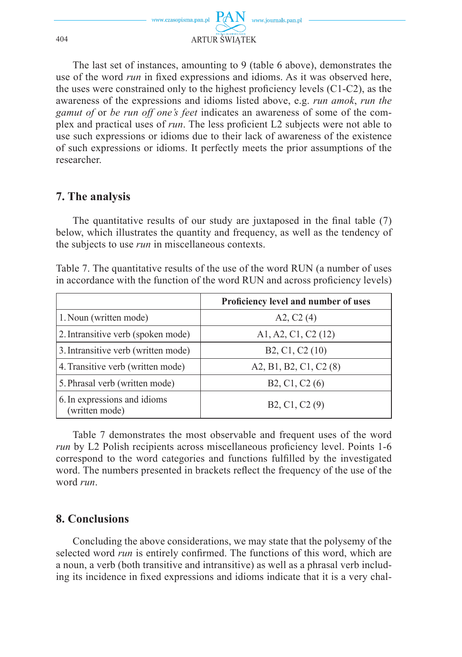

The last set of instances, amounting to 9 (table 6 above), demonstrates the use of the word *run* in fixed expressions and idioms. As it was observed here, the uses were constrained only to the highest proficiency levels  $(C1-C2)$ , as the awareness of the expressions and idioms listed above, e.g. *run amok*, *run the gamut of* or *be run off one's feet* indicates an awareness of some of the complex and practical uses of *run*. The less proficient L2 subjects were not able to use such expressions or idioms due to their lack of awareness of the existence of such expressions or idioms. It perfectly meets the prior assumptions of the researcher.

# **7. The analysis**

The quantitative results of our study are juxtaposed in the final table  $(7)$ below, which illustrates the quantity and frequency, as well as the tendency of the subjects to use *run* in miscellaneous contexts.

| Table 7. The quantitative results of the use of the word RUN (a number of uses |  |
|--------------------------------------------------------------------------------|--|
| in accordance with the function of the word RUN and across proficiency levels) |  |

|                                                | Proficiency level and number of uses                  |
|------------------------------------------------|-------------------------------------------------------|
| 1. Noun (written mode)                         | A2, $C2(4)$                                           |
| 2. Intransitive verb (spoken mode)             | A1, A2, C1, C2 (12)                                   |
| 3. Intransitive verb (written mode)            | B <sub>2</sub> , C <sub>1</sub> , C <sub>2</sub> (10) |
| 4. Transitive verb (written mode)              | A2, B1, B2, C1, C2 (8)                                |
| 5. Phrasal verb (written mode)                 | B <sub>2</sub> , C <sub>1</sub> , C <sub>2</sub> (6)  |
| 6. In expressions and idioms<br>(written mode) | B2, C1, C2 (9)                                        |

Table 7 demonstrates the most observable and frequent uses of the word *run* by L2 Polish recipients across miscellaneous proficiency level. Points 1-6 correspond to the word categories and functions fulfilled by the investigated word. The numbers presented in brackets reflect the frequency of the use of the word *run*.

# **8. Conclusions**

Concluding the above considerations, we may state that the polysemy of the selected word *run* is entirely confirmed. The functions of this word, which are a noun, a verb (both transitive and intransitive) as well as a phrasal verb including its incidence in fixed expressions and idioms indicate that it is a very chal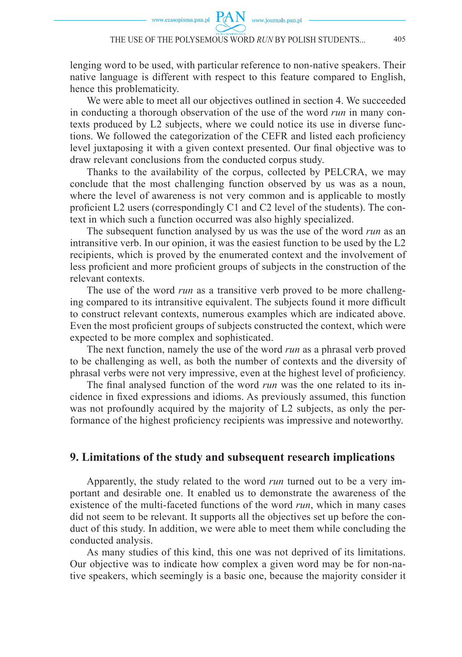lenging word to be used, with particular reference to non-native speakers. Their native language is different with respect to this feature compared to English, hence this problematicity.

We were able to meet all our objectives outlined in section 4. We succeeded in conducting a thorough observation of the use of the word *run* in many contexts produced by L2 subjects, where we could notice its use in diverse functions. We followed the categorization of the CEFR and listed each proficiency level juxtaposing it with a given context presented. Our final objective was to draw relevant conclusions from the conducted corpus study.

Thanks to the availability of the corpus, collected by PELCRA, we may conclude that the most challenging function observed by us was as a noun, where the level of awareness is not very common and is applicable to mostly proficient  $L2$  users (correspondingly C1 and C2 level of the students). The context in which such a function occurred was also highly specialized.

The subsequent function analysed by us was the use of the word *run* as an intransitive verb. In our opinion, it was the easiest function to be used by the L2 recipients, which is proved by the enumerated context and the involvement of less proficient and more proficient groups of subjects in the construction of the relevant contexts.

The use of the word *run* as a transitive verb proved to be more challenging compared to its intransitive equivalent. The subjects found it more difficult to construct relevant contexts, numerous examples which are indicated above. Even the most proficient groups of subjects constructed the context, which were expected to be more complex and sophisticated.

The next function, namely the use of the word *run* as a phrasal verb proved to be challenging as well, as both the number of contexts and the diversity of phrasal verbs were not very impressive, even at the highest level of proficiency.

The final analysed function of the word *run* was the one related to its incidence in fixed expressions and idioms. As previously assumed, this function was not profoundly acquired by the majority of L2 subjects, as only the performance of the highest proficiency recipients was impressive and noteworthy.

#### **9. Limitations of the study and subsequent research implications**

Apparently, the study related to the word *run* turned out to be a very important and desirable one. It enabled us to demonstrate the awareness of the existence of the multi-faceted functions of the word *run*, which in many cases did not seem to be relevant. It supports all the objectives set up before the conduct of this study. In addition, we were able to meet them while concluding the conducted analysis.

As many studies of this kind, this one was not deprived of its limitations. Our objective was to indicate how complex a given word may be for non-native speakers, which seemingly is a basic one, because the majority consider it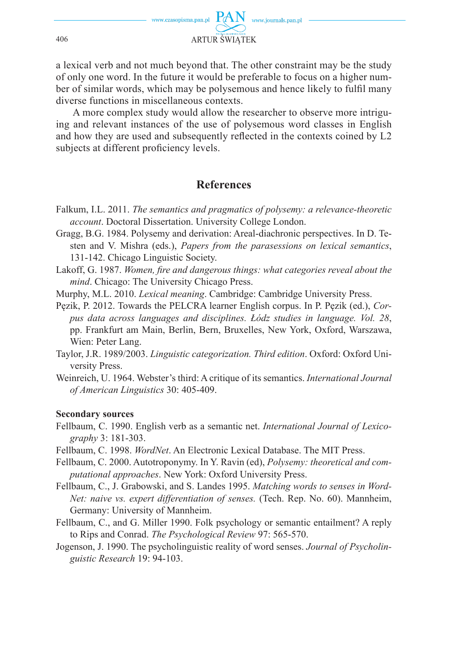

a lexical verb and not much beyond that. The other constraint may be the study of only one word. In the future it would be preferable to focus on a higher number of similar words, which may be polysemous and hence likely to fulfil many diverse functions in miscellaneous contexts.

A more complex study would allow the researcher to observe more intriguing and relevant instances of the use of polysemous word classes in English and how they are used and subsequently reflected in the contexts coined by L2 subjects at different proficiency levels.

# **References**

- Falkum, I.L. 2011. *The semantics and pragmatics of polysemy: a relevance-theoretic account*. Doctoral Dissertation. University College London.
- Gragg, B.G. 1984. Polysemy and derivation: Areal-diachronic perspectives. In D. Testen and V. Mishra (eds.), *Papers from the parasessions on lexical semantics*, 131-142. Chicago Linguistic Society.
- Lakoff, G. 1987. *Women, fire and dangerous things: what categories reveal about the mind*. Chicago: The University Chicago Press.
- Murphy, M.L. 2010. *Lexical meaning*. Cambridge: Cambridge University Press.
- Pęzik, P. 2012. Towards the PELCRA learner English corpus. In P. Pęzik (ed.), *Corpus data across languages and disciplines. Łódz studies in language. Vol. 28*, pp. Frankfurt am Main, Berlin, Bern, Bruxelles, New York, Oxford, Warszawa, Wien: Peter Lang.
- Taylor, J.R. 1989/2003. *Linguistic categorization. Third edition*. Oxford: Oxford University Press.
- Weinreich, U. 1964. Webster's third: A critique of its semantics. *International Journal of American Linguistics* 30: 405-409.

#### **Secondary sources**

- Fellbaum, C. 1990. English verb as a semantic net. *International Journal of Lexicography* 3: 181-303.
- Fellbaum, C. 1998. *WordNet*. An Electronic Lexical Database. The MIT Press.
- Fellbaum, C. 2000. Autotroponymy. In Y. Ravin (ed), *Polysemy: theoretical and computational approaches*. New York: Oxford University Press.
- Fellbaum, C., J. Grabowski, and S. Landes 1995. *Matching words to senses in Word-Net: naive vs. expert differentiation of senses.* (Tech. Rep. No. 60). Mannheim, Germany: University of Mannheim.
- Fellbaum, C., and G. Miller 1990. Folk psychology or semantic entailment? A reply to Rips and Conrad. *The Psychological Review* 97: 565-570.
- Jogenson, J. 1990. The psycholinguistic reality of word senses. *Journal of Psycholinguistic Research* 19: 94-103.